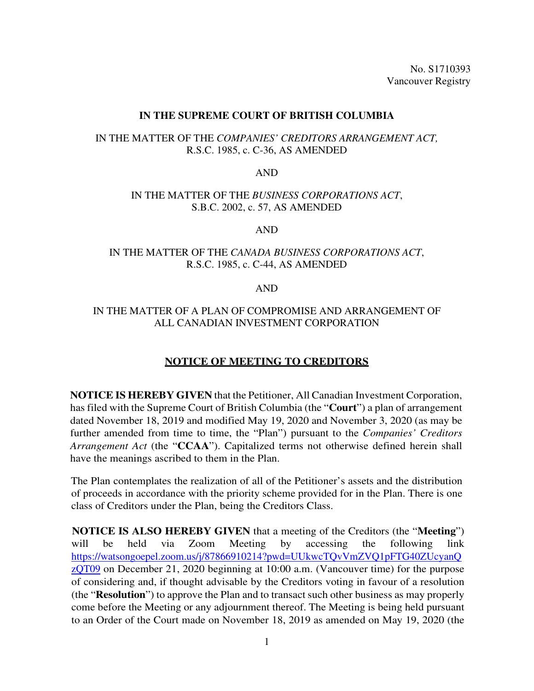No. S1710393 Vancouver Registry

#### **IN THE SUPREME COURT OF BRITISH COLUMBIA**

### IN THE MATTER OF THE *COMPANIES' CREDITORS ARRANGEMENT ACT,*  R.S.C. 1985, c. C-36, AS AMENDED

AND

#### IN THE MATTER OF THE *BUSINESS CORPORATIONS ACT*, S.B.C. 2002, c. 57, AS AMENDED

AND

## IN THE MATTER OF THE *CANADA BUSINESS CORPORATIONS ACT*, R.S.C. 1985, c. C-44, AS AMENDED

AND

## IN THE MATTER OF A PLAN OF COMPROMISE AND ARRANGEMENT OF ALL CANADIAN INVESTMENT CORPORATION

# **NOTICE OF MEETING TO CREDITORS**

**NOTICE IS HEREBY GIVEN** that the Petitioner, All Canadian Investment Corporation, has filed with the Supreme Court of British Columbia (the "**Court**") a plan of arrangement dated November 18, 2019 and modified May 19, 2020 and November 3, 2020 (as may be further amended from time to time, the "Plan") pursuant to the *Companies' Creditors Arrangement Act* (the "**CCAA**"). Capitalized terms not otherwise defined herein shall have the meanings ascribed to them in the Plan.

The Plan contemplates the realization of all of the Petitioner's assets and the distribution of proceeds in accordance with the priority scheme provided for in the Plan. There is one class of Creditors under the Plan, being the Creditors Class.

**NOTICE IS ALSO HEREBY GIVEN** that a meeting of the Creditors (the "**Meeting**") will be held via Zoom Meeting by accessing the following link https://watsongoepel.zoom.us/j/87866910214?pwd=UUkwcTQvVmZVQ1pFTG40ZUcyanQ  $ZQT09$  on December 21, 2020 beginning at 10:00 a.m. (Vancouver time) for the purpose of considering and, if thought advisable by the Creditors voting in favour of a resolution (the "**Resolution**") to approve the Plan and to transact such other business as may properly come before the Meeting or any adjournment thereof. The Meeting is being held pursuant to an Order of the Court made on November 18, 2019 as amended on May 19, 2020 (the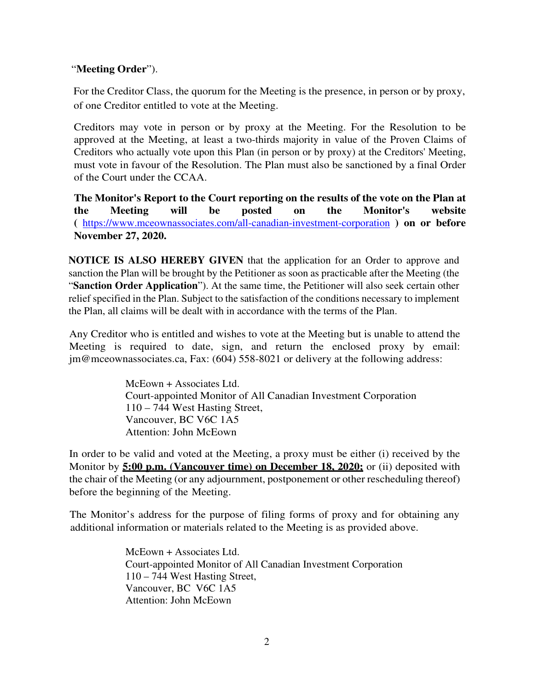## "**Meeting Order**").

For the Creditor Class, the quorum for the Meeting is the presence, in person or by proxy, of one Creditor entitled to vote at the Meeting.

Creditors may vote in person or by proxy at the Meeting. For the Resolution to be approved at the Meeting, at least a two-thirds majority in value of the Proven Claims of Creditors who actually vote upon this Plan (in person or by proxy) at the Creditors' Meeting, must vote in favour of the Resolution. The Plan must also be sanctioned by a final Order of the Court under the CCAA.

**The Monitor's Report to the Court reporting on the results of the vote on the Plan at the Meeting will be posted on the Monitor's website (** https://www.mceownassociates.com/all-canadian-investment-corporation **) on or before November 27, 2020.**

**NOTICE IS ALSO HEREBY GIVEN** that the application for an Order to approve and sanction the Plan will be brought by the Petitioner as soon as practicable after the Meeting (the "**Sanction Order Application**"). At the same time, the Petitioner will also seek certain other relief specified in the Plan. Subject to the satisfaction of the conditions necessary to implement the Plan, all claims will be dealt with in accordance with the terms of the Plan.

Any Creditor who is entitled and wishes to vote at the Meeting but is unable to attend the Meeting is required to date, sign, and return the enclosed proxy by email: jm@mceownassociates.ca, Fax: (604) 558-8021 or delivery at the following address:

> McEown + Associates Ltd. Court-appointed Monitor of All Canadian Investment Corporation 110 – 744 West Hasting Street, Vancouver, BC V6C 1A5 Attention: John McEown

In order to be valid and voted at the Meeting, a proxy must be either (i) received by the Monitor by **5:00 p.m. (Vancouver time) on December 18, 2020;** or (ii) deposited with the chair of the Meeting (or any adjournment, postponement or other rescheduling thereof) before the beginning of the Meeting.

The Monitor's address for the purpose of filing forms of proxy and for obtaining any additional information or materials related to the Meeting is as provided above.

> McEown + Associates Ltd. Court-appointed Monitor of All Canadian Investment Corporation 110 – 744 West Hasting Street, Vancouver, BC V6C 1A5 Attention: John McEown